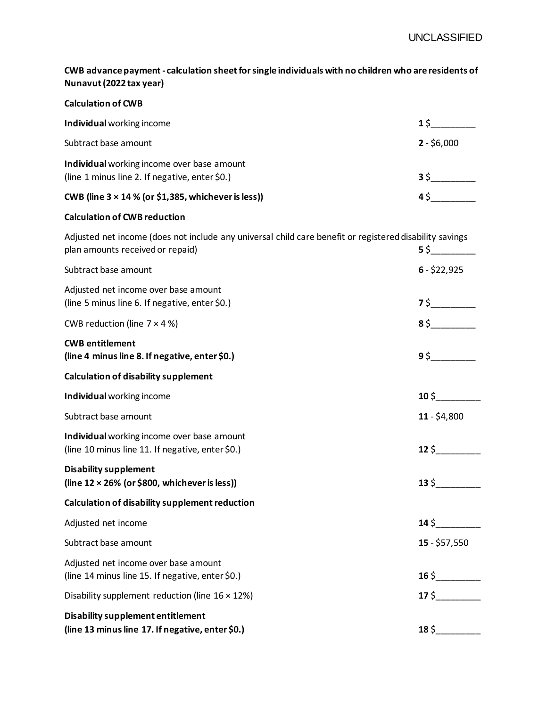**CWB advance payment - calculation sheet for single individuals with no children who are residents of Nunavut (2022 tax year)**

| <b>Calculation of CWB</b>                                                                               |              |
|---------------------------------------------------------------------------------------------------------|--------------|
| Individual working income                                                                               | 1 Ś          |
| Subtract base amount                                                                                    | $2 - $6,000$ |
| Individual working income over base amount<br>(line 1 minus line 2. If negative, enter \$0.)            | 3 S          |
| CWB (line $3 \times 14$ % (or \$1,385, whichever is less))                                              | 4\$          |
| <b>Calculation of CWB reduction</b>                                                                     |              |
| Adjusted net income (does not include any universal child care benefit or registered disability savings |              |

| plan amounts received or repaid)                                                               | 55              |
|------------------------------------------------------------------------------------------------|-----------------|
| Subtract base amount                                                                           | $6 - $22,925$   |
| Adjusted net income over base amount<br>(line 5 minus line 6. If negative, enter \$0.)         |                 |
| CWB reduction (line $7 \times 4$ %)                                                            | 85              |
| <b>CWB</b> entitlement<br>(line 4 minus line 8. If negative, enter \$0.)                       | 95              |
| <b>Calculation of disability supplement</b>                                                    |                 |
| Individual working income                                                                      | $10\,$ \$       |
| Subtract base amount                                                                           | $11 - $4,800$   |
| Individual working income over base amount<br>(line 10 minus line 11. If negative, enter \$0.) | $12\sqrt{ }$    |
| <b>Disability supplement</b><br>(line $12 \times 26\%$ (or \$800, whichever is less))          | $13\,$ \$       |
| Calculation of disability supplement reduction                                                 |                 |
| Adjusted net income                                                                            | $14\sqrt{ }$    |
| Subtract base amount                                                                           | $15 - $57,550$  |
| Adjusted net income over base amount<br>(line 14 minus line 15. If negative, enter \$0.)       | $16\frac{1}{2}$ |
| Disability supplement reduction (line $16 \times 12\%$ )                                       | $17\sqrt{5}$    |
| <b>Disability supplement entitlement</b><br>(line 13 minus line 17. If negative, enter \$0.)   | $18\sqrt{ }$    |